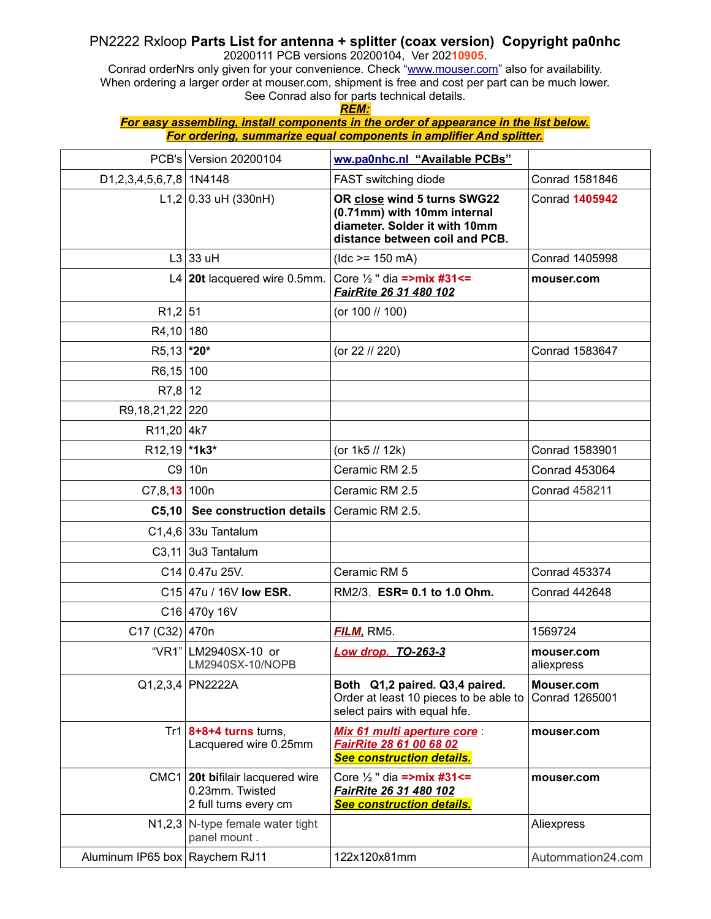## PN2222 Rxloop **Parts List for antenna + splitter (coax version) Copyright pa0nhc**

20200111 PCB versions 20200104, Ver 202**10905**.

Conrad orderNrs only given for your convenience. Check ["www.mouser.com"](http://www.arrow.com/) also for availability. When ordering a larger order at mouser.com, shipment is free and cost per part can be much lower. See Conrad also for parts technical details.

*REM:*

*For easy assembling, install components in the order of appearance in the list below. For ordering, summarize equal components in amplifier And splitter.*

|                                | PCB's Version 20200104                                                       | ww.pa0nhc.nl "Available PCBs"                                                                                                 |                              |
|--------------------------------|------------------------------------------------------------------------------|-------------------------------------------------------------------------------------------------------------------------------|------------------------------|
| D1,2,3,4,5,6,7,8 1N4148        |                                                                              | FAST switching diode                                                                                                          | <b>Conrad 1581846</b>        |
|                                | L1,2 0.33 uH (330nH)                                                         | OR close wind 5 turns SWG22<br>(0.71mm) with 10mm internal<br>diameter. Solder it with 10mm<br>distance between coil and PCB. | <b>Conrad 1405942</b>        |
|                                | $L3$ 33 uH                                                                   | $(dc >= 150 mA)$                                                                                                              | <b>Conrad 1405998</b>        |
|                                | L4 $20t$ lacquered wire 0.5mm.                                               | Core $\frac{1}{2}$ " dia =>mix #31<=<br>FairRite 26 31 480 102                                                                | mouser.com                   |
| $R1,2$ 51                      |                                                                              | (or 100 // 100)                                                                                                               |                              |
| R4,10 180                      |                                                                              |                                                                                                                               |                              |
| R5,13 *20*                     |                                                                              | (or 22 // 220)                                                                                                                | Conrad 1583647               |
| $R6,15$ 100                    |                                                                              |                                                                                                                               |                              |
| RT,8                           | 12                                                                           |                                                                                                                               |                              |
| R9,18,21,22 220                |                                                                              |                                                                                                                               |                              |
| $R11,20$ 4k7                   |                                                                              |                                                                                                                               |                              |
| $R12,19$ *1k3*                 |                                                                              | (or 1k5 // 12k)                                                                                                               | Conrad 1583901               |
|                                | $C9$   10n                                                                   | Ceramic RM 2.5                                                                                                                | <b>Conrad 453064</b>         |
| C7, 8, 13   100n               |                                                                              | Ceramic RM 2.5                                                                                                                | <b>Conrad 458211</b>         |
|                                | C5,10 See construction details Ceramic RM 2.5.                               |                                                                                                                               |                              |
|                                | $C1,4,6$ 33u Tantalum                                                        |                                                                                                                               |                              |
|                                | $C3,11$ 3u3 Tantalum                                                         |                                                                                                                               |                              |
|                                | C14 0.47u 25V.                                                               | Ceramic RM 5                                                                                                                  | <b>Conrad 453374</b>         |
|                                | C15 47u / 16V low ESR.                                                       | RM2/3. ESR= 0.1 to 1.0 Ohm.                                                                                                   | <b>Conrad 442648</b>         |
|                                | $C16$ 470y 16V                                                               |                                                                                                                               |                              |
| C17 (C32)   470n               |                                                                              | <b>FILM, RM5.</b>                                                                                                             | 1569724                      |
|                                | "VR1" LM2940SX-10 or<br>LM2940SX-10/NOPB                                     | <b>Low drop. TO-263-3</b>                                                                                                     | mouser.com<br>aliexpress     |
|                                | $Q1,2,3,4$ PN2222A                                                           | Both Q1,2 paired. Q3,4 paired.<br>Order at least 10 pieces to be able to<br>select pairs with equal hfe.                      | Mouser.com<br>Conrad 1265001 |
|                                | Tr1 $8+8+4$ turns turns,<br>Lacquered wire 0.25mm                            | Mix 61 multi aperture core:<br>FairRite 28 61 00 68 02<br>See construction details.                                           | mouser.com                   |
|                                | CMC1 20t bifilair lacquered wire<br>0.23mm. Twisted<br>2 full turns every cm | Core $\frac{1}{2}$ " dia =>mix #31<=<br>FairRite 26 31 480 102<br><b>See construction details.</b>                            | mouser.com                   |
|                                | $N1,2,3$ N-type female water tight<br>panel mount.                           |                                                                                                                               | Aliexpress                   |
| Aluminum IP65 box Raychem RJ11 |                                                                              | 122x120x81mm                                                                                                                  | Autommation24.com            |